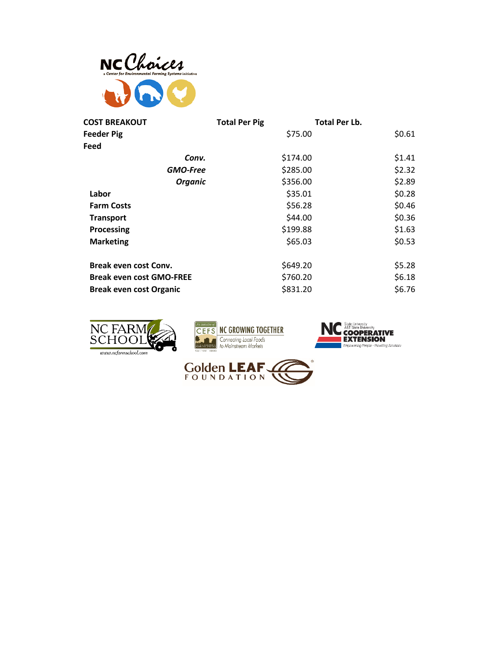

| <b>COST BREAKOUT</b>            | <b>Total Per Pig</b> | <b>Total Per Lb.</b> |
|---------------------------------|----------------------|----------------------|
| Feeder Pig                      | \$75.00              | \$0.61               |
| Feed                            |                      |                      |
| Conv.                           | \$174.00             | \$1.41               |
| <b>GMO-Free</b>                 | \$285.00             | \$2.32               |
| <b>Organic</b>                  | \$356.00             | \$2.89               |
| Labor                           | \$35.01              | \$0.28               |
| <b>Farm Costs</b>               | \$56.28              | \$0.46               |
| <b>Transport</b>                | \$44.00              | \$0.36               |
| Processing                      | \$199.88             | \$1.63               |
| <b>Marketing</b>                | \$65.03              | \$0.53               |
| <b>Break even cost Conv.</b>    | \$649.20             | \$5.28               |
| <b>Break even cost GMO-FREE</b> | \$760.20             | \$6.18               |
| <b>Break even cost Organic</b>  | \$831.20             | \$6.76               |







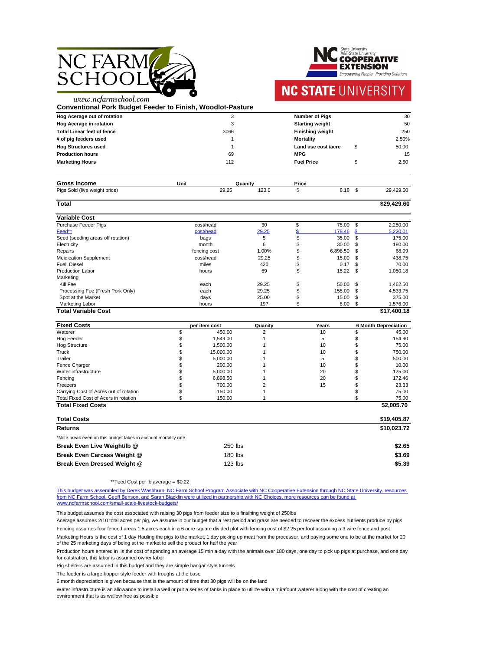



.

| <b>Conventional Pork Budget Feeder to Finish, Woodlot-Pasture</b> |              |       |         |                         |                     |                           |             |
|-------------------------------------------------------------------|--------------|-------|---------|-------------------------|---------------------|---------------------------|-------------|
| Hog Acerage out of rotation                                       |              | 3     |         | <b>Number of Pigs</b>   |                     |                           | 30          |
| <b>Hog Acerage in rotation</b>                                    |              | 3     |         | <b>Starting weight</b>  |                     |                           | 50          |
| <b>Total Linear feet of fence</b>                                 |              | 3066  |         | <b>Finishing weight</b> |                     |                           | 250         |
| # of pig feeders used                                             |              |       |         | <b>Mortality</b>        |                     |                           | 2.50%       |
| <b>Hog Structures used</b>                                        |              |       |         |                         | Land use cost /acre | \$                        | 50.00       |
| <b>Production hours</b>                                           |              | 69    |         | <b>MPG</b>              |                     |                           | 15          |
| <b>Marketing Hours</b>                                            |              | 112   |         | <b>Fuel Price</b>       |                     | \$                        | 2.50        |
| <b>Gross Income</b>                                               | <b>Unit</b>  |       | Quanity | <b>Price</b>            |                     |                           |             |
| Pigs Sold (live weight price)                                     |              | 29.25 | 123.0   | $\mathfrak{S}$          | 8.18                | $\mathfrak{S}$            | 29,429.60   |
| <b>Total</b>                                                      |              |       |         |                         |                     |                           | \$29,429.60 |
| <b>Variable Cost</b>                                              |              |       |         |                         |                     |                           |             |
| <b>Purchase Feeder Pigs</b>                                       | cost/head    |       | 30      | \$                      | 75.00               | $\boldsymbol{\mathsf{S}}$ | 2,250.00    |
| Feed**                                                            | cost/head    |       | 29.25   |                         | 178.46              | \$                        | 5,220.01    |
| Seed (seeding areas off rotation)                                 | bags         |       | 5       | \$                      | 35.00               | $\mathfrak{L}$            | 175.00      |
| Electricity                                                       | month        |       | 6       | \$                      | 30.00               | \$.                       | 180.00      |
| <b>Repairs</b>                                                    | fencing cost |       | 1.00%   |                         | 6,898.50            | \$                        | 68.99       |
| <b>Meidication Supplement</b>                                     | cost/head    |       | 29.25   | \$                      | 15.00               | S                         | 438.75      |
| Fuel, Diesel                                                      | miles        |       | 420     | \$                      | 0.17                | \$                        | 70.00       |
| <b>Production Labor</b>                                           | hours        |       | 69      | \$                      | 15.22               | \$                        | 1,050.18    |
| Marketing                                                         |              |       |         |                         |                     |                           |             |
| Kill Fee                                                          | each         |       | 29.25   | \$                      | 50.00               | \$                        | 1,462.50    |
| Processing Fee (Fresh Pork Only)                                  | each         |       | 29.25   | \$                      | 155.00              | \$                        | 4,533.75    |
| Spot at the Market                                                | days         |       | 25.00   | \$                      | 15.00               | \$                        | 375.00      |
| <b>Marketing Labor</b>                                            | hours        |       | 197     | \$                      | 8.00                | S                         | 1,576.00    |
| <b>Total Variable Cost</b>                                        |              |       |         |                         |                     |                           | \$17,400.18 |

This budget was assembled by Derek Washburn, NC Farm School Program Associate with NC Cooperative Extension through NC State University. resources [from NC Farm School, Geoff Benson, and Sarah Black](http://www.ncfarmschool.com/small-scale-livestock-budgets/)lin were utilized in partnership with NC Choices, more resources can be found at [www.ncfarmschool.com/small-scale-livestock-budgets](http://www.ncfarmschool.com/small-scale-livestock-budgets/)/

| <b>Fixed Costs</b>                                              | per item cost | Quanity | Years | <b>6 Month Depreciation</b> |
|-----------------------------------------------------------------|---------------|---------|-------|-----------------------------|
| Waterer                                                         | 450.00        |         | 10    | 45.00                       |
| <b>Hog Feeder</b>                                               | 1,549.00      |         | 5     | 154.90                      |
| <b>Hog Structure</b>                                            | 1,500.00      |         | 10    | 75.00                       |
| Truck                                                           | 15,000.00     |         | 10    | 750.00                      |
| <b>Trailer</b>                                                  | 5,000.00      |         | 5     | 500.00                      |
| Fence Charger                                                   | 200.00        |         | 10    | 10.00                       |
| Water infrastructure                                            | 5,000.00      |         | 20    | 125.00                      |
| Fencing                                                         | 6,898.50      |         | 20    | 172.46                      |
| Freezers                                                        | 700.00        |         | 15    | 23.33                       |
| Carrying Cost of Acres out of rotation                          | 150.00        |         |       | 75.00                       |
| Total Fixed Cost of Acers in rotation                           | 150.00        |         |       | 75.00                       |
| <b>Total Fixed Costs</b>                                        |               |         |       | \$2,005.70                  |
| <b>Total Costs</b>                                              |               |         |       | \$19,405.87                 |
| <b>Returns</b>                                                  |               |         |       | \$10,023.72                 |
| *Note break even on this budget takes in account mortality rate |               |         |       |                             |
| Break Even Live Weight/Ib @                                     | 250 lbs       |         |       | \$2.65                      |
| <b>Break Even Carcass Weight @</b>                              | 180 lbs       |         |       | \$3.69                      |
| Break Even Dressed Weight @                                     | $123$ lbs     |         |       | \$5.39                      |

\*\*Feed Cost per lb average = \$0.22

This budget assumes the cost associated with raising 30 pigs from feeder size to a finsihing weight of 250lbs

The feeder is a large hopper style feeder with troughs at the base

Pig shelters are assumed in this budget and they are simple hangar style tunnels

6 month depreciation is given because that is the amount of time that 30 pigs will be on the land

Water infrastructure is an allowance to install a well or put a series of tanks in place to utilize with a mirafount waterer along with the cost of creating an evnironment that is as wallow free as possible

Acerage assumes 2/10 total acres per pig, we assume in our budget that a rest period and grass are needed to recover the excess nutrients produce by pigs

Production hours entered in is the cost of spending an average 15 min a day with the animals over 180 days, one day to pick up pigs at purchase, and one day for catstration, this labor is assumed owner labor

Marketing Hours is the cost of 1 day Hauling the pigs to the market, 1 day picking up meat from the processor, and paying some one to be at the market for 20 of the 25 marketing days of being at the market to sell the product for half the year

Fencing assumes four fenced areas 1.5 acres each in a 6 acre square divided plot with fencing cost of \$2.25 per foot assuming a 3 wire fence and post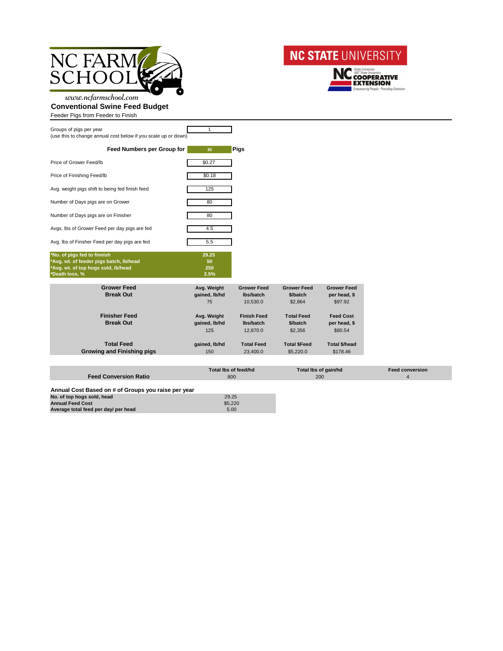



www.ncfarmschool.com **Conventional Swine Feed Budget**

Feeder Pigs from Feeder to Finish

| Groups of pigs per year<br>(use this to change annual cost below if you scale up or down) |        |             |
|-------------------------------------------------------------------------------------------|--------|-------------|
| <b>Feed Numbers per Group for</b>                                                         | 30     | <b>Pigs</b> |
| Price of Grower Feed/Ib                                                                   | \$0.27 |             |
| Price of Finishing Feed/Ib                                                                | \$0.18 |             |
| Avg. weight pigs shift to being fed finish feed                                           | 125    |             |
| Number of Days pigs are on Grower                                                         | 80     |             |
| Number of Days pigs are on Finisher                                                       | 80     |             |
| Avgs. Ibs of Grower Feed per day pigs are fed                                             | 4.5    |             |
| Avg. Ibs of Finsher Feed per day pigs are fed                                             | 5.5    |             |
| *No. of pigs fed to finnish                                                               | 29.25  |             |
| *Avg. wt. of feeder pigs batch, Ib/head                                                   | 50     |             |
| *Avg. wt. of top hogs sold, lb/head                                                       | 250    |             |
| *Death loss, %                                                                            | 2.5%   |             |

| <b>Grower Feed</b><br><b>Break Out</b>                 | Avg. Weight<br>gained, lb/hd<br>75  | <b>Grower Feed</b><br>Ibs/batch<br>10,530.0 | <b>Grower Feed</b><br>\$/batch<br>\$2,864 | <b>Grower Feed</b><br>per head, \$<br>\$97.92 |
|--------------------------------------------------------|-------------------------------------|---------------------------------------------|-------------------------------------------|-----------------------------------------------|
| <b>Finisher Feed</b><br><b>Break Out</b>               | Avg. Weight<br>gained, lb/hd<br>125 | <b>Finish Feed</b><br>lbs/batch<br>12,870.0 | <b>Total Feed</b><br>\$/batch<br>\$2,356  | <b>Feed Cost</b><br>per head, \$<br>\$80.54   |
| <b>Total Feed</b><br><b>Growing and Finishing pigs</b> | gained, lb/hd<br>150                | <b>Total Feed</b><br>23,400.0               | <b>Total \$Feed</b><br>\$5,220.0          | <b>Total \$/head</b><br>\$178.46              |

|                                                     | Total Ibs of feed/hd | Total lbs of gain/hd | <b>Feed conversion</b> |
|-----------------------------------------------------|----------------------|----------------------|------------------------|
| <b>Feed Conversion Ratio</b>                        | 800                  | 200                  |                        |
|                                                     |                      |                      |                        |
| Annual Cost Based on # of Groups you raise per year |                      |                      |                        |
| No. of top hogs sold, head                          | 29.25                |                      |                        |
| <b>Annual Feed Cost</b>                             | \$5,220              |                      |                        |
| Average total feed per day/ per head                | 5.00                 |                      |                        |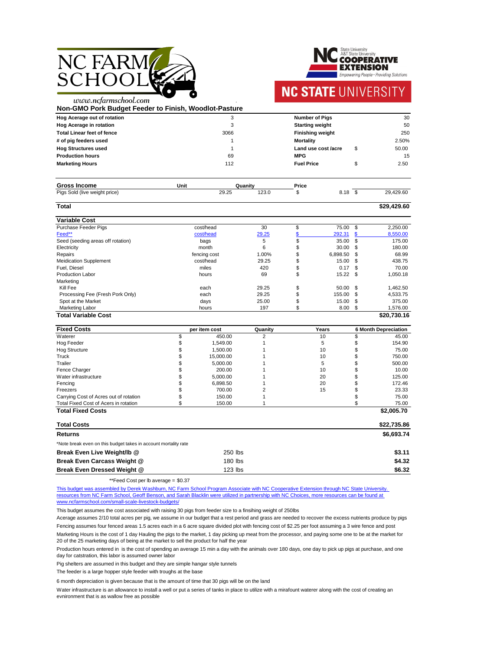

www.ncfarmschool.com



.

# **NC STATE UNIVERSITY**

**Fixed Costs per item cost Quanity Years 6 Month Depreciation** Waterer \$ 450.00 2 10 \$ 45.00 Hog Feeder \$ 1,549.00 1 5 \$ 154.90 Hog Structure \$ 1,500.00 1 10 \$ 75.00 Truck \$ 15,000.00 1 10 \$ 750.00 Trailer \$ 5,000.00 1 5 \$ 500.00 Fence Charger \$ 200.00 1 10 \$ 10.00 Water infrastructure 125.00  $\frac{1}{25}$  5,000.00 1 20 \$ 125.00

| Non-GMO Pork Budget Feeder to Finish, Woodlot-Pasture |              |       |         |                         |                     |                            |             |
|-------------------------------------------------------|--------------|-------|---------|-------------------------|---------------------|----------------------------|-------------|
| Hog Acerage out of rotation                           |              | 3     |         | <b>Number of Pigs</b>   |                     |                            | 30          |
| <b>Hog Acerage in rotation</b>                        |              | 3     |         | <b>Starting weight</b>  |                     |                            | 50          |
| <b>Total Linear feet of fence</b>                     |              | 3066  |         | <b>Finishing weight</b> |                     |                            | 250         |
| # of pig feeders used                                 |              |       |         | <b>Mortality</b>        |                     |                            | 2.50%       |
| <b>Hog Structures used</b>                            |              |       |         |                         | Land use cost /acre | \$                         | 50.00       |
| <b>Production hours</b>                               |              | 69    |         | <b>MPG</b>              |                     |                            | 15          |
| <b>Marketing Hours</b>                                |              | 112   |         | <b>Fuel Price</b>       |                     | \$                         | 2.50        |
| <b>Gross Income</b>                                   | <b>Unit</b>  |       | Quanity | <b>Price</b>            |                     |                            |             |
| Pigs Sold (live weight price)                         |              | 29.25 | 123.0   | \$                      | 8.18 \$             |                            | 29,429.60   |
| <b>Total</b>                                          |              |       |         |                         |                     |                            | \$29,429.60 |
| <b>Variable Cost</b>                                  |              |       |         |                         |                     |                            |             |
| <b>Purchase Feeder Pigs</b>                           | cost/head    |       | 30      | \$                      | 75.00               | $\boldsymbol{\mathsf{S}}$  | 2,250.00    |
| Feed**                                                | cost/head    |       | 29.25   | \$                      | 292.31              | $\boldsymbol{\mathsf{s}}$  | 8,550.00    |
| Seed (seeding areas off rotation)                     | bags         |       | 5       | \$                      | 35.00               | \$                         | 175.00      |
| Electricity                                           | month        |       | 6       | \$                      | 30.00               | \$                         | 180.00      |
| Repairs                                               | fencing cost |       | 1.00%   | \$                      | 6,898.50            | \$                         | 68.99       |
| <b>Meidication Supplement</b>                         | cost/head    |       | 29.25   | \$                      | 15.00               | S                          | 438.75      |
| Fuel, Diesel                                          | miles        |       | 420     | \$                      | 0.17                | \$                         | 70.00       |
| <b>Production Labor</b>                               | hours        |       | 69      | \$                      | 15.22               | \$                         | 1,050.18    |
| Marketing                                             |              |       |         |                         |                     |                            |             |
| Kill Fee                                              | each         |       | 29.25   | \$                      | 50.00               | $\boldsymbol{\mathcal{S}}$ | 1,462.50    |
| Processing Fee (Fresh Pork Only)                      | each         |       | 29.25   | \$                      | 155.00              | \$                         | 4,533.75    |
| Spot at the Market                                    | days         |       | 25.00   | \$                      | 15.00               | \$                         | 375.00      |
| <b>Marketing Labor</b>                                | hours        |       | 197     | \$                      | 8.00                | \$                         | 1,576.00    |
| <b>Total Variable Cost</b>                            |              |       |         |                         |                     |                            | \$20,730.16 |

This budget was assembled by Derek Washburn, NC Farm School Program Associate with NC Cooperative Extension through NC State University. [resources from NC Farm School, Geoff Benson, and](http://www.ncfarmschool.com/small-scale-livestock-budgets/) Sarah Blacklin were utilized in partnership with NC Choices, more resources can be found at [www.ncfarmschool.com/small-scale-livestock-budgets](http://www.ncfarmschool.com/small-scale-livestock-budgets/)/

| Fencing                                                         | \$<br>6,898.50 | 20 | 172.46      |
|-----------------------------------------------------------------|----------------|----|-------------|
| Freezers                                                        | 700.00         | 15 | 23.33       |
| Carrying Cost of Acres out of rotation                          | 150.00         |    | 75.00       |
| <b>Total Fixed Cost of Acers in rotation</b>                    | 150.00         |    | 75.00       |
| <b>Total Fixed Costs</b>                                        |                |    | \$2,005.70  |
| <b>Total Costs</b>                                              |                |    | \$22,735.86 |
| <b>Returns</b>                                                  |                |    | \$6,693.74  |
| *Note break even on this budget takes in account mortality rate |                |    |             |
| Break Even Live Weight/lb @                                     | 250 lbs        |    | \$3.11      |
| <b>Break Even Carcass Weight @</b>                              | 180 lbs        |    | \$4.32      |
| <b>Break Even Dressed Weight @</b>                              | $123$ lbs      |    | \$6.32      |

\*\*Feed Cost per lb average = \$0.37

This budget assumes the cost associated with raising 30 pigs from feeder size to a finsihing weight of 250lbs

The feeder is a large hopper style feeder with troughs at the base

6 month depreciation is given because that is the amount of time that 30 pigs will be on the land

Water infrastructure is an allowance to install a well or put a series of tanks in place to utilize with a mirafount waterer along with the cost of creating an evnironment that is as wallow free as possible

Acerage assumes 2/10 total acres per pig, we assume in our budget that a rest period and grass are needed to recover the excess nutrients produce by pigs

Fencing assumes four fenced areas 1.5 acres each in a 6 acre square divided plot with fencing cost of \$2.25 per foot assuming a 3 wire fence and post

Marketing Hours is the cost of 1 day Hauling the pigs to the market, 1 day picking up meat from the processor, and paying some one to be at the market for 20 of the 25 marketing days of being at the market to sell the product for half the year

Production hours entered in is the cost of spending an average 15 min a day with the animals over 180 days, one day to pick up pigs at purchase, and one day for catstration, this labor is assumed owner labor

Pig shelters are assumed in this budget and they are simple hangar style tunnels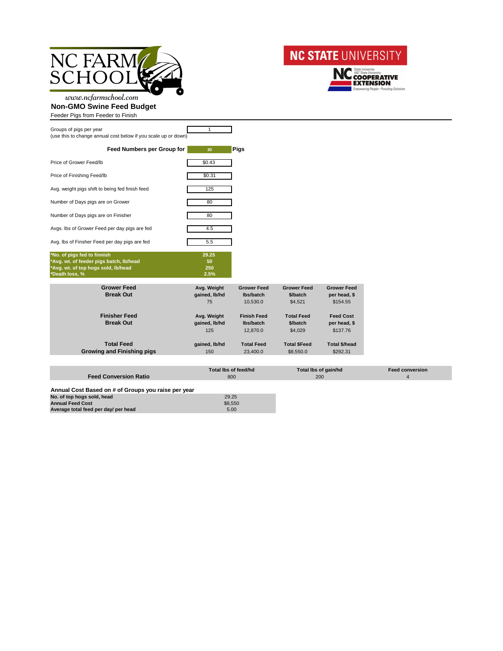



www.ncfarmschool.com **Non-GMO Swine Feed Budget**

Feeder Pigs from Feeder to Finish

| Groups of pigs per year<br>(use this to change annual cost below if you scale up or down)                                       |                            |             |
|---------------------------------------------------------------------------------------------------------------------------------|----------------------------|-------------|
| <b>Feed Numbers per Group for</b>                                                                                               | 30                         | <b>Pigs</b> |
| Price of Grower Feed/Ib                                                                                                         | \$0.43                     |             |
| Price of Finishing Feed/Ib                                                                                                      | \$0.31                     |             |
| Avg. weight pigs shift to being fed finish feed                                                                                 | 125                        |             |
| Number of Days pigs are on Grower                                                                                               | 80                         |             |
| Number of Days pigs are on Finisher                                                                                             | 80                         |             |
| Avgs. Ibs of Grower Feed per day pigs are fed                                                                                   | 4.5                        |             |
| Avg. Ibs of Finsher Feed per day pigs are fed                                                                                   | 5.5                        |             |
| *No. of pigs fed to finnish<br>*Avg. wt. of feeder pigs batch, Ib/head<br>*Avg. wt. of top hogs sold, lb/head<br>*Death loss, % | 29.25<br>50<br>250<br>2.5% |             |

| <b>Grower Feed</b><br><b>Break Out</b>                 | Avg. Weight<br>gained, lb/hd<br>75  | <b>Grower Feed</b><br>lbs/batch<br>10,530.0 | <b>Grower Feed</b><br>\$/batch<br>\$4,521 | <b>Grower Feed</b><br>per head, \$<br>\$154.55 |
|--------------------------------------------------------|-------------------------------------|---------------------------------------------|-------------------------------------------|------------------------------------------------|
| <b>Finisher Feed</b><br><b>Break Out</b>               | Avg. Weight<br>gained, lb/hd<br>125 | <b>Finish Feed</b><br>lbs/batch<br>12,870.0 | <b>Total Feed</b><br>\$/batch<br>\$4,029  | <b>Feed Cost</b><br>per head, \$<br>\$137.76   |
| <b>Total Feed</b><br><b>Growing and Finishing pigs</b> | gained, lb/hd<br>150                | <b>Total Feed</b><br>23,400.0               | <b>Total \$Feed</b><br>\$8,550.0          | <b>Total \$/head</b><br>\$292.31               |

| <b>Feed Conversion Ratio</b>                        | Total Ibs of feed/hd<br>800 | <b>Total lbs of gain/hd</b><br>200 | <b>Feed conversion</b> |
|-----------------------------------------------------|-----------------------------|------------------------------------|------------------------|
| Annual Cost Based on # of Groups you raise per year |                             |                                    |                        |
| No. of top hogs sold, head                          | 29.25                       |                                    |                        |
| <b>Annual Feed Cost</b>                             | \$8,550                     |                                    |                        |
| Average total feed per day/ per head                | 5.00                        |                                    |                        |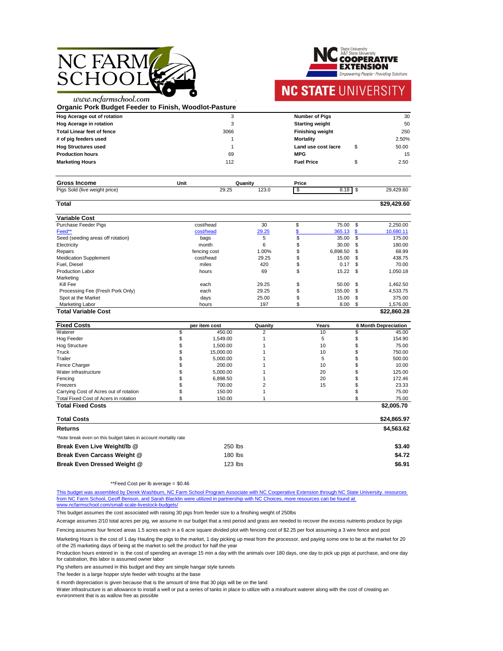

**State University A&T State University OOPERATIVE** ENSION Empowering People · Providing Solutions

### **NC STATE UNIVERSITY**

.

www.ncfarmschool.com **Organic Pork Budget Feeder to Finish, Woodlot-Pasture**

| Hog Acerage out of rotation       |      | <b>Number of Pigs</b>      |  | 30    |
|-----------------------------------|------|----------------------------|--|-------|
| <b>Hog Acerage in rotation</b>    |      | <b>Starting weight</b>     |  | 50    |
| <b>Total Linear feet of fence</b> | 3066 | <b>Finishing weight</b>    |  | 250   |
| # of pig feeders used             |      | <b>Mortality</b>           |  | 2.50% |
| <b>Hog Structures used</b>        |      | Land use cost <i>lacre</i> |  | 50.00 |
| <b>Production hours</b>           | 69   | <b>MPG</b>                 |  | 15    |
| <b>Marketing Hours</b>            | 112  | <b>Fuel Price</b>          |  | 2.50  |

| <b>Gross Income</b>               | Unit                | Quanity        | <b>Price</b> |             |                                     |
|-----------------------------------|---------------------|----------------|--------------|-------------|-------------------------------------|
| Pigs.<br>Sold (live weight price) | $\Omega$<br>ل ے.ت ک | ה ההו<br>12J.V |              | 0.40<br>1 O | $\sim$<br>$\sim$<br>'29.6C<br>– ⊃.∼ |

| Total                             |              |       |    |            |      | \$29,429.60 |
|-----------------------------------|--------------|-------|----|------------|------|-------------|
| <b>Variable Cost</b>              |              |       |    |            |      |             |
| <b>Purchase Feeder Pigs</b>       | cost/head    | 30    | \$ | 75.00      | \$   | 2,250.00    |
| Feed**                            | cost/head    | 29.25 |    | 365.13     | - \$ | 10,680.11   |
| Seed (seeding areas off rotation) | bags         | 5     | \$ | 35.00      | \$   | 175.00      |
| Electricity                       | month        | 6     | \$ | 30.00      | \$   | 180.00      |
| Repairs                           | fencing cost | 1.00% | \$ | 6,898.50   | \$   | 68.99       |
| <b>Meidication Supplement</b>     | cost/head    | 29.25 | \$ | 15.00      | \$.  | 438.75      |
| Fuel, Diesel                      | miles        | 420   | \$ | 0.17       | -\$  | 70.00       |
| <b>Production Labor</b>           | hours        | 69    | \$ | $15.22$ \$ |      | 1,050.18    |
| Marketing                         |              |       |    |            |      |             |
| Kill Fee                          | each         | 29.25 | \$ | 50.00      | \$   | 1,462.50    |
| Processing Fee (Fresh Pork Only)  | each         | 29.25 |    | 155.00     | \$   | 4,533.75    |
| Spot at the Market                | days         | 25.00 | \$ | 15.00      | \$   | 375.00      |
| <b>Marketing Labor</b>            | hours        | 197   | J. | 8.00       | \$   | 1,576.00    |
| <b>Total Variable Cost</b>        |              |       |    |            |      | \$22,860.28 |

**Fixed Costs per item cost Quanity Propertion Years 6 Month Depreciation** Waterer \$ 450.00 2 10 \$ 45.00 Hog Feeder \$ 1,549.00 1 5 \$ 154.90 Hog Structure \$ 1,500.00 1 10 \$ 75.00 Truck \$ 15,000.00 1 10 \$ 750.00 Trailer \$ 5,000.00 1 5 \$ 500.00 Fence Charger \$ 200.00 1 10 \$ 10.00 Water infrastructure 125.00  $\frac{1}{2}$  5,000.00 1 20 \$ 125.00

| Fencing                                                         | 6,898.50                     |                | 20 | ጦ | 172.46      |
|-----------------------------------------------------------------|------------------------------|----------------|----|---|-------------|
| Freezers                                                        | 700.00                       | $\overline{2}$ | 15 |   | 23.33       |
| Carrying Cost of Acres out of rotation                          | 150.00                       |                |    |   | 75.00       |
| <b>Total Fixed Cost of Acers in rotation</b>                    | 150.00                       |                |    |   | 75.00       |
| <b>Total Fixed Costs</b>                                        |                              |                |    |   | \$2,005.70  |
| <b>Total Costs</b>                                              |                              |                |    |   | \$24,865.97 |
| <b>Returns</b>                                                  |                              |                |    |   | \$4,563.62  |
| *Note break even on this budget takes in account mortality rate |                              |                |    |   |             |
| Break Even Live Weight/Ib @                                     | 250 lbs                      |                |    |   | \$3.40      |
| <b>Break Even Carcass Weight @</b>                              | $180$ lbs                    |                |    |   | \$4.72      |
| <b>Break Even Dressed Weight @</b>                              | $123$ $\overline{\text{hs}}$ |                |    |   | \$6.91      |

\*\*Feed Cost per lb average = \$0.46

This budget assumes the cost associated with raising 30 pigs from feeder size to a finsihing weight of 250lbs

The feeder is a large hopper style feeder with troughs at the base

Pig shelters are assumed in this budget and they are simple hangar style tunnels

6 month depreciation is given because that is the amount of time that 30 pigs will be on the land

Water infrastructure is an allowance to install a well or put a series of tanks in place to utilize with a mirafount waterer along with the cost of creating an evnironment that is as wallow free as possible

[This budget was assembled by Derek Washburn, NC Farm School Program Associate with NC Cooperative Extension through NC State University. resources](http://www.ncfarmschool.com/small-scale-livestock-budgets/)  [from NC Farm School, Geoff Benson, and Sarah Black](http://www.ncfarmschool.com/small-scale-livestock-budgets/)lin were utilized in partnership with NC Choices, more resources can be found at [www.ncfarmschool.com/small-scale-livestock-budgets](http://www.ncfarmschool.com/small-scale-livestock-budgets/)/

Acerage assumes 2/10 total acres per pig, we assume in our budget that a rest period and grass are needed to recover the excess nutrients produce by pigs

Fencing assumes four fenced areas 1.5 acres each in a 6 acre square divided plot with fencing cost of \$2.25 per foot assuming a 3 wire fence and post

Marketing Hours is the cost of 1 day Hauling the pigs to the market, 1 day picking up meat from the processor, and paying some one to be at the market for 20 of the 25 marketing days of being at the market to sell the product for half the year

Production hours entered in is the cost of spending an average 15 min a day with the animals over 180 days, one day to pick up pigs at purchase, and one day for catstration, this labor is assumed owner labor